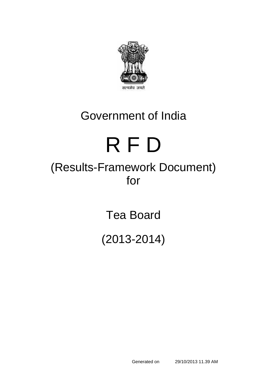

# Government of India

# R F D

# (Results-Framework Document) for

Tea Board

(2013-2014)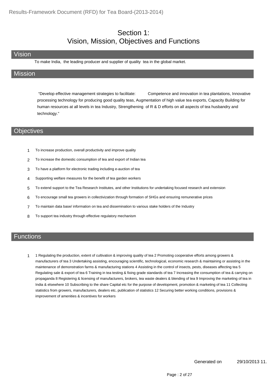#### Section 1: Vision, Mission, Objectives and Functions

#### Vision

To make India, the leading producer and supplier of quality tea in the global market.

#### **Mission**

 "Develop effective management strategies to facilitate: Competence and innovation in tea plantations, Innovative processing technology for producing good quality teas, Augmentation of high value tea exports, Capacity Building for human resources at all levels in tea Industry, Strengthening of R & D efforts on all aspects of tea husbandry and technology."

#### **Objectives**

- 1 To increase production, overall productivity and improve quality
- 2 To increase the domestic consumption of tea and export of Indian tea
- 3 To have a platform for electronic trading including e-auction of tea
- 4 Supporting welfare measures for the benefit of tea garden workers
- 5 To extend support to the Tea Research Institutes, and other Institutions for undertaking focused research and extension
- 6 To encourage small tea growers in collectivization through formation of SHGs and ensuring remunerative prices
- 7 To maintain data base/ information on tea and dissemination to various stake holders of the Industry
- 8 To support tea industry through effective regulatory mechanism

#### **Functions**

1 Regulating the production, extent of cultivation & improving quality of tea 2 Promoting cooperative efforts among growers & manufacturers of tea 3 Undertaking assisting, encouraging scientific, technological, economic research & maintaining or assisting in the maintenance of demonstration farms & manufacturing stations 4 Assisting in the control of insects, pests, diseases affecting tea 5 Regulating sale & export of tea 6 Training in tea testing & fixing grade standards of tea 7 Increasing the consumption of tea & carrying on propaganda 8 Registering & licensing of manufacturers, brokers, tea waste dealers & blending of tea 9 Improving the marketing of tea in India & elsewhere 10 Subscribing to the share Capital etc for the purpose of development, promotion & marketing of tea 11 Collecting statistics from growers, manufacturers, dealers etc, publication of statistics 12 Securing better working conditions, provisions & improvement of amenities & incentives for workers 1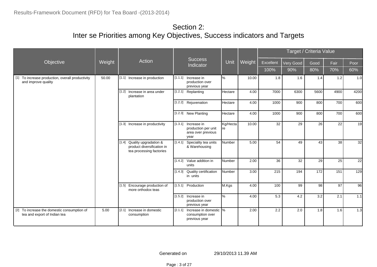|                                                                             |        |                                                                                       |                             |                                                                          |                |       |      |        | Target / Criteria Value |           |      |      |      |
|-----------------------------------------------------------------------------|--------|---------------------------------------------------------------------------------------|-----------------------------|--------------------------------------------------------------------------|----------------|-------|------|--------|-------------------------|-----------|------|------|------|
| Objective                                                                   | Weight | Action                                                                                | <b>Success</b><br>Indicator |                                                                          |                |       | Unit | Weight | Excellent               | Very Good | Good | Fair | Poor |
|                                                                             |        |                                                                                       |                             |                                                                          | 100%           | 90%   | 80%  | 70%    | 60%                     |           |      |      |      |
| [1] To increase production, overall productivity<br>and improve quality     | 50.00  | [1.1] Increase in production                                                          | [1.1.1]                     | Increase in<br>production over<br>previous year                          | %              | 10.00 | 1.8  | 1.6    | 1.4                     | 1.2       | 1.0  |      |      |
|                                                                             |        | [1.2] Increase in area under<br>plantation                                            |                             | [1.2.1] Replanting                                                       | Hectare        | 4.00  | 7000 | 6300   | 5600                    | 4900      | 4200 |      |      |
|                                                                             |        |                                                                                       |                             | [1.2.2] Rejuvenation                                                     | Hectare        | 4.00  | 1000 | 900    | 800                     | 700       | 600  |      |      |
|                                                                             |        |                                                                                       |                             | [1.2.3] New Planting                                                     | Hectare        | 4.00  | 1000 | 900    | 800                     | 700       | 600  |      |      |
|                                                                             |        | [1.3] Increase in productivity                                                        |                             | [1.3.1] Increase in<br>production per unit<br>area over previous<br>year | Kg/Hecta<br>re | 10.00 | 32   | 29     | 26                      | 22        | 19   |      |      |
|                                                                             |        | [1.4] Quality upgradation &<br>product diversification in<br>tea processing factories | [1.4.1]                     | Speciality tea units<br>& Warehousing                                    | Number         | 5.00  | 54   | 49     | 43                      | 38        | 32   |      |      |
|                                                                             |        |                                                                                       | [1.4.2]                     | Value addition in<br>units                                               | <b>Number</b>  | 2.00  | 36   | 32     | 29                      | 25        | 22   |      |      |
|                                                                             |        |                                                                                       |                             | [1.4.3] Quality certification<br>in units                                | Number         | 3.00  | 215  | 194    | 172                     | 151       | 129  |      |      |
|                                                                             |        | [1.5] Encourage production of<br>more orthodox teas                                   |                             | [1.5.1] Production                                                       | M.Kgs          | 4.00  | 100  | 99     | 98                      | 97        | 96   |      |      |
|                                                                             |        |                                                                                       | [1.5.2]                     | Increase in<br>production over<br>previous year                          | %              | 4.00  | 5.3  | 4.2    | 3.2                     | 2.1       | 1.1  |      |      |
| [2] To increase the domestic consumption of<br>tea and export of Indian tea | 5.00   | [2.1]<br>Increase in domestic<br>consumption                                          | [2.1.1]                     | Increase in domestic  %<br>consumption over<br>previous year             |                | 2.00  | 2.2  | 2.0    | 1.8                     | 1.6       | 1.3  |      |      |

Generated on 29/10/2013 11.39 AM

Page : 3 of 27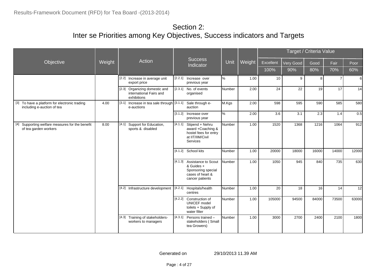|                                                                                              |        | <b>Success</b>                                                             |           |                                                                                                        |        |        |           | Target / Criteria Value |       |       |       |
|----------------------------------------------------------------------------------------------|--------|----------------------------------------------------------------------------|-----------|--------------------------------------------------------------------------------------------------------|--------|--------|-----------|-------------------------|-------|-------|-------|
| Objective                                                                                    | Weight | Action                                                                     | Indicator |                                                                                                        | Unit   | Weight | Excellent | <b>Very Good</b>        | Good  | Fair  | Poor  |
|                                                                                              |        |                                                                            |           |                                                                                                        |        |        | 100%      | 90%                     | 80%   | 70%   | 60%   |
|                                                                                              |        | [2.2] Increase in average unit<br>export price                             |           | [2.2.1] Increase over<br>previous year                                                                 | %      | 1.00   | 10        | 9                       | 8     |       | 6     |
|                                                                                              |        | Organizing domestic and<br>[2.3]<br>international Fairs and<br>exhibitions |           | $[2.3.1]$ No. of events<br>organised                                                                   | Number | 2.00   | 24        | 22                      | 19    | 17    | 14    |
| To have a platform for electronic trading<br>$\lceil 3 \rceil$<br>including e-auction of tea | 4.00   | Increase in tea sale through [3.1.1]<br>[3.1]<br>e-auctions                |           | Sale through e-<br>auction                                                                             | M.Kgs  | 2.00   | 598       | 595                     | 590   | 585   | 580   |
|                                                                                              |        |                                                                            |           | [3.1.2] Increase over<br>previous year                                                                 | %      | 2.00   | 3.6       | 3.1                     | 2.3   | 1.4   | 0.5   |
| Supporting welfare measures for the benefit<br>[4]<br>of tea garden workers                  | 8.00   | Support for Education,<br>[4.1]<br>sports & disabled                       | [4.1.1]   | Stipend + Nehru<br>award +Coaching &<br>hostel fees for entry<br>at IIT/IIM/Civil<br><b>Services</b>   | Number | 1.00   | 1520      | 1368                    | 1216  | 1064  | 912   |
|                                                                                              |        |                                                                            |           | [4.1.2] School kits                                                                                    | Number | 1.00   | 20000     | 18000                   | 16000 | 14000 | 12000 |
|                                                                                              |        |                                                                            |           | [4.1.3] Assistance to Scout<br>& Guides +<br>Sponsoring special<br>cases of heart &<br>cancer patients | Number | 1.00   | 1050      | 945                     | 840   | 735   | 630   |
|                                                                                              |        | [4.2] Infrastructure development                                           |           | [4.2.1] Hospitals/health<br>centres                                                                    | Number | 1.00   | 20        | 18                      | 16    | 14    | 12    |
|                                                                                              |        |                                                                            | [4.2.2]   | Construction of<br><b>UNICEF</b> model<br>toilets + Supply of<br>water filter                          | Number | 1.00   | 105000    | 94500                   | 84000 | 73500 | 63000 |
|                                                                                              |        | Training of stakeholders-<br>[4.3]<br>workers to managers                  |           | $[4.3.1]$ Persons trained -<br>stakeholders (Small<br>tea Growers)                                     | Number | 1.00   | 3000      | 2700                    | 2400  | 2100  | 1800  |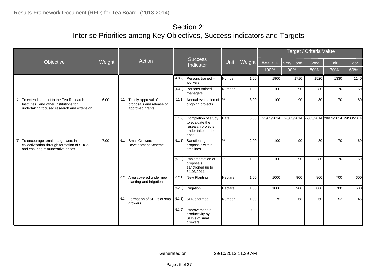|                                                                                                                                   |        |                                                                            |  |                                                                                                   |               |        |                |                          | Target / Criteria Value          |      |      |
|-----------------------------------------------------------------------------------------------------------------------------------|--------|----------------------------------------------------------------------------|--|---------------------------------------------------------------------------------------------------|---------------|--------|----------------|--------------------------|----------------------------------|------|------|
| Objective                                                                                                                         | Weight | Action                                                                     |  | Success<br>Indicator                                                                              | Unit          | Weight | Excellent      | Very Good                | Good                             | Fair | Poor |
|                                                                                                                                   |        |                                                                            |  |                                                                                                   |               |        | 100%           | 90%                      | 80%                              | 70%  | 60%  |
|                                                                                                                                   |        |                                                                            |  | $[4.3.2]$ Persons trained -<br>workers                                                            | Number        | 1.00   | 1900           | 1710                     | 1520                             | 1330 | 1140 |
|                                                                                                                                   |        |                                                                            |  | $[4.3.3]$ Persons trained -<br>managers                                                           | Number        | 1.00   | 100            | 90                       | 80                               | 70   | 60   |
| [5] To extend support to the Tea Research<br>Institutes, and other Institutions for<br>undertaking focused research and extension | 6.00   | [5.1]<br>Timely approval of<br>proposals and release of<br>approved grants |  | [5.1.1] Annual evaluation of $\sqrt{\frac{8}{5}}$<br>ongoing projects                             |               | 3.00   | 100            | 90                       | 80                               | 70   | 60   |
|                                                                                                                                   |        |                                                                            |  | [5.1.2] Completion of study<br>to evaluate the<br>research projects<br>under taken in the<br>past | Date          | 3.00   | 25/03/2014     | 26/03/2014               | 27/03/2014 28/03/2014 29/03/2014 |      |      |
| [6] To encourage small tea growers in<br>collectivization through formation of SHGs<br>and ensuring remunerative prices           | 7.00   | Small Growers<br>[6.1]<br>Development Scheme                               |  | [6.1.1] Sanctioning of<br>proposals within<br>timelines                                           | %             | 2.00   | 100            | 90                       | 80                               | 70   | 60   |
|                                                                                                                                   |        |                                                                            |  | [6.1.2] Implementation of<br>proposals<br>sanctioned up to<br>31.03.2011                          | $\%$          | 1.00   | 100            | 90                       | 80                               | 70   | 60   |
|                                                                                                                                   |        | [6.2]<br>Area covered under new<br>planting and irrigation                 |  | [6.2.1] New Planting                                                                              | Hectare       | 1.00   | 1000           | 900                      | 800                              | 700  | 600  |
|                                                                                                                                   |        |                                                                            |  | [6.2.2] Irrigation                                                                                | Hectare       | 1.00   | 1000           | 900                      | 800                              | 700  | 600  |
|                                                                                                                                   |        | [6.3] Formation of SHGs of small [6.3.1] SHGs formed<br>growers            |  |                                                                                                   | Number        | 1.00   | 75             | 68                       | 60                               | 52   | 45   |
|                                                                                                                                   |        |                                                                            |  | [6.3.2] Improvement in<br>productivity by<br>SHGs of small<br>growers                             | $\sim$ $\sim$ | 0.00   | $\overline{a}$ | $\overline{\phantom{a}}$ |                                  |      |      |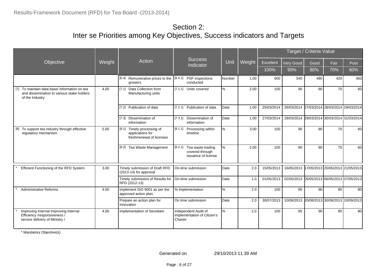|                                                                                                                     |        |                                                                                |                                                                     |               |        |            |                                             | Target / Criteria Value |                                  |      |
|---------------------------------------------------------------------------------------------------------------------|--------|--------------------------------------------------------------------------------|---------------------------------------------------------------------|---------------|--------|------------|---------------------------------------------|-------------------------|----------------------------------|------|
| Objective                                                                                                           | Weight | Action                                                                         | <b>Success</b><br>Indicator                                         | Unit          | Weight | Excellent  | Very Good                                   | Good                    | Fair                             | Poor |
|                                                                                                                     |        |                                                                                |                                                                     |               |        | 100%       | 90%                                         | 80%                     | 70%                              | 60%  |
|                                                                                                                     |        | [6.4]<br>Remunerative prices to the<br>growers                                 | [6.4.1] PSF inspections<br>conducted                                | <b>Number</b> | 1.00   | 600        | 540                                         | 480                     | 420                              | 360  |
| To maintain data base/ information on tea<br>$[7]$<br>and dissemination to various stake holders<br>of the Industry | 4.00   | Data Collection from<br>[7.1]<br>Manufacturing units                           | [7.1.1] Units covered                                               | $\%$          | 2.00   | 100        | 90                                          | 80                      | 70                               | 60   |
|                                                                                                                     |        | Publication of data<br>$[7.2]$                                                 | [7.2.1] Publication of data                                         | Date          | 1.00   | 25/03/2014 | 26/03/2014                                  |                         | 27/03/2014 28/03/2014 29/03/2014 |      |
|                                                                                                                     |        | [7.3]<br>Dissemination of<br>information                                       | [7.3.1] Dissemination of<br>information                             | Date          | 1.00   | 27/03/2014 | 28/03/2014                                  |                         | 29/03/2014 30/03/2014 31/03/2014 |      |
| [8] To support tea industry through effective<br>regulatory mechanism                                               | 5.00   | [8.1]<br>Timely processing of<br>applications for<br>fresh/renewal of licenses | [8.1.1]<br>Processing within<br>timeline                            | %             | 3.00   | 100        | 90                                          | 80                      | 70                               | 60   |
|                                                                                                                     |        | [8.2] Tea Waste Management                                                     | [8.2.1] Tea waste trading<br>covered through<br>issuance of license | $\%$          | 2.00   | 100        | 90                                          | 80                      | 70                               | 60   |
| Efficient Functioning of the RFD System                                                                             | 3.00   | Timely submission of Draft RFD<br>(2013-14) for approval                       | On-time submission                                                  | Date          | 2.0    | 15/05/2013 | 16/05/2013                                  |                         | 17/05/2013 20/05/2013 21/05/2013 |      |
|                                                                                                                     |        | Timely submission of Results for<br>RFD (2012-13)                              | On-time submission                                                  | <b>D</b> ate  | 1.0    | 01/05/2013 | 02/05/2013 05/05/2013 06/05/2013 07/05/2013 |                         |                                  |      |
| <b>Administrative Reforms</b>                                                                                       | 4.00   | Implement ISO 9001 as per the<br>approved action plan.                         | % Implementation                                                    | %             | 2.0    | 100        | 95                                          | 90                      | 85                               | 80   |
|                                                                                                                     |        | Prepare an action plan for<br>Innovation                                       | On time submission                                                  | Date          | 2.0    | 30/07/2013 | 10/08/2013 20/08/2013 30/08/2013 10/09/2013 |                         |                                  |      |
| Improving Internal Improving Internal<br>Efficiency /responsiveness /<br>service delivery of Ministry /             | 4.00   | Implementation of Sevottam                                                     | Independent Audit of<br>Implementation of Citizen's<br>Charter      | %             | 2.0    | 100        | 95                                          | 90                      | 85                               | 80   |

\* Mandatory Objective(s)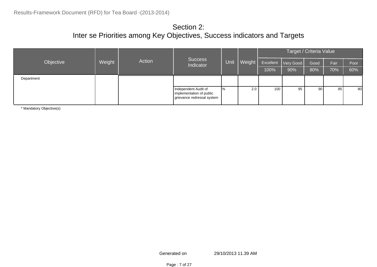| <b>Success</b><br>Action<br>Weight<br>Objective<br>Indicator |  |  |                                                                                | Target / Criteria Value |           |           |      |       |      |     |
|--------------------------------------------------------------|--|--|--------------------------------------------------------------------------------|-------------------------|-----------|-----------|------|-------|------|-----|
|                                                              |  |  | <b>Unit</b>                                                                    | Weight                  | Excellent | Very Good | Good | Fair  | Poor |     |
|                                                              |  |  |                                                                                |                         |           | 100%      | 90%  | 80%   | 70%  | 60% |
| Department                                                   |  |  |                                                                                |                         |           |           |      |       |      |     |
|                                                              |  |  | Independent Audit of<br>implementation of public<br>grievance redressal system | $\frac{9}{6}$           | 2.0       | 100       | 95   | .90 l | 85   | 80  |

\* Mandatory Objective(s)

Generated on 29/10/2013 11.39 AM

Page : 7 of 27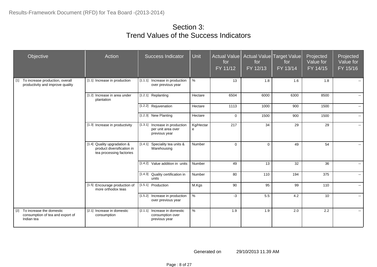| Objective                                                                           | Action                                                                                | Success Indicator                                                     | Unit           | <b>Actual Value</b><br>for<br>FY 11/12 | for<br>FY 12/13 | Actual Value Target Value<br>for<br>$FY$ 13/14 | Projected<br>Value for<br>$FY$ 14/15 | Projected<br>Value for<br>FY 15/16 |
|-------------------------------------------------------------------------------------|---------------------------------------------------------------------------------------|-----------------------------------------------------------------------|----------------|----------------------------------------|-----------------|------------------------------------------------|--------------------------------------|------------------------------------|
| To increase production, overall<br>[1]<br>productivity and improve quality          | [1.1] Increase in production                                                          | [1.1.1] Increase in production<br>over previous year                  | $\%$           | 13                                     | 1.8             | 1.6                                            | 1.8                                  |                                    |
|                                                                                     | [1.2] Increase in area under<br>plantation                                            | [1.2.1] Replanting                                                    | Hectare        | 6504                                   | 6000            | 6300                                           | 8500                                 | $\sim$                             |
|                                                                                     |                                                                                       | [1.2.2] Rejuvenation                                                  | Hectare        | 1113                                   | 1000            | 900                                            | 1500                                 | $\sim$                             |
|                                                                                     |                                                                                       | [1.2.3] New Planting                                                  | Hectare        | $\Omega$                               | 1500            | 900                                            | 1500                                 | $\sim$ $-$                         |
|                                                                                     | [1.3] Increase in productivity                                                        | [1.3.1] Increase in production<br>per unit area over<br>previous year | Kg/Hectar<br>e | 217                                    | 34              | 29                                             | 29                                   | $\sim$                             |
|                                                                                     | [1.4] Quality upgradation &<br>product diversification in<br>tea processing factories | [1.4.1] Speciality tea units &<br>Warehousing                         | Number         | $\mathbf 0$                            | $\mathbf 0$     | 49                                             | 54                                   | н.                                 |
|                                                                                     |                                                                                       | [1.4.2] Value addition in units                                       | Number         | 49                                     | 13              | 32                                             | 36                                   | $\sim$                             |
|                                                                                     |                                                                                       | [1.4.3] Quality certification in<br>units                             | Number         | 80                                     | 110             | 194                                            | 375                                  | $\sim$                             |
|                                                                                     | [1.5] Encourage production of<br>more orthodox teas                                   | [1.5.1] Production                                                    | M.Kgs          | 90                                     | 95              | 99                                             | 110                                  | $\sim$                             |
|                                                                                     |                                                                                       | [1.5.2] Increase in production<br>over previous year                  | $\%$           | $-3$                                   | 5.5             | 4.2                                            | 10                                   | $\sim$                             |
| $[2]$<br>To increase the domestic<br>consumption of tea and export of<br>Indian tea | [2.1] Increase in domestic<br>consumption                                             | Increase in domestic<br>[2.1.1]<br>consumption over<br>previous year  | $\%$           | 1.9                                    | 1.9             | 2.0                                            | 2.2                                  | $\sim$                             |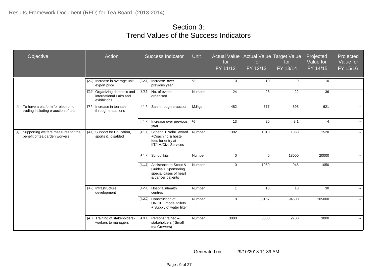| Objective                                                                   | Action                                                                  | <b>Success Indicator</b>                                                                                    | <b>Unit</b> | <b>Actual Value</b><br>for<br>FY 11/12 | for<br>FY 12/13 | Actual Value Target Value<br>for<br>FY 13/14 | Projected<br>Value for<br>FY 14/15 | Projected<br>Value for<br>FY 15/16 |
|-----------------------------------------------------------------------------|-------------------------------------------------------------------------|-------------------------------------------------------------------------------------------------------------|-------------|----------------------------------------|-----------------|----------------------------------------------|------------------------------------|------------------------------------|
|                                                                             | [2.2] Increase in average unit<br>export price                          | [2.2.1] Increase over<br>previous year                                                                      | %           | 10                                     | 10              | 9                                            | 10                                 | $\sim$ $\sim$                      |
|                                                                             | [2.3] Organizing domestic and<br>international Fairs and<br>exhibitions | $[2.3.1]$ No. of events<br>organised                                                                        | Number      | 24                                     | 28              | 22                                           | 36                                 | $\sim$                             |
| [3] To have a platform for electronic<br>trading including e-auction of tea | [3.1] Increase in tea sale<br>through e-auctions                        | [3.1.1] Sale through e-auction                                                                              | M.Kgs       | 482                                    | 577             | 595                                          | 621                                | $\sim$                             |
|                                                                             |                                                                         | [3.1.2] Increase over previous   %<br>year                                                                  |             | 13                                     | 20              | 3.1                                          | $\overline{4}$                     | $\sim$                             |
| [4] Supporting welfare measures for the<br>benefit of tea garden workers    | [4.1] Support for Education,<br>sports & disabled                       | $[4.1.1]$ Stipend + Nehru award<br>+Coaching & hostel<br>fees for entry at<br><b>IIT/IIM/Civil Services</b> | Number      | 1392                                   | 1010            | 1368                                         | 1520                               | $\sim$                             |
|                                                                             |                                                                         | [4.1.2] School kits                                                                                         | Number      | $\Omega$                               | $\mathbf 0$     | 18000                                        | 20000                              | $\mathbf{e} = \mathbf{e}$          |
|                                                                             |                                                                         | [4.1.3] Assistance to Scout &<br>Guides + Sponsoring<br>special cases of heart<br>& cancer patients         | Number      | $\Omega$                               | 1050            | 945                                          | 1050                               | $\sim$                             |
|                                                                             | [4.2] Infrastructure<br>development                                     | [4.2.1] Hospitals/health<br>centres                                                                         | Number      | $\overline{1}$                         | 13              | 18                                           | 30                                 | $\mathbf{e} = \mathbf{e}$          |
|                                                                             |                                                                         | [4.2.2] Construction of<br><b>UNICEF</b> model toilets<br>+ Supply of water filter                          | Number      | $\Omega$                               | 35167           | 94500                                        | 105000                             | $\sim$                             |
|                                                                             | [4.3] Training of stakeholders-<br>workers to managers                  | [4.3.1] Persons trained -<br>stakeholders (Small<br>tea Growers)                                            | Number      | 3000                                   | 3000            | 2700                                         | 3000                               | $\sim$                             |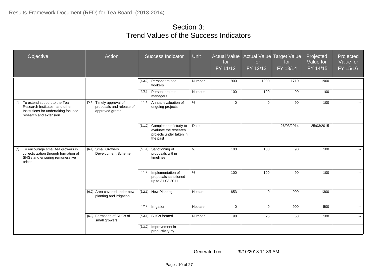| Objective                                                                                                                            | Action                                                                  | <b>Success Indicator</b>                                                                       | <b>Unit</b>  | Actual Value<br>for<br>FY 11/12 | for<br>FY 12/13 | Actual Value Target Value<br>for<br>FY 13/14 | Projected<br>Value for<br>FY 14/15 | Projected<br>Value for<br>FY 15/16 |
|--------------------------------------------------------------------------------------------------------------------------------------|-------------------------------------------------------------------------|------------------------------------------------------------------------------------------------|--------------|---------------------------------|-----------------|----------------------------------------------|------------------------------------|------------------------------------|
|                                                                                                                                      |                                                                         | $[4.3.2]$ Persons trained -<br>workers                                                         | Number       | 1900                            | 1900            | 1710                                         | 1900                               |                                    |
|                                                                                                                                      |                                                                         | $[4.3.3]$ Persons trained -<br>managers                                                        | Number       | 100                             | 100             | 90                                           | 100                                | $\sim$                             |
| [5] To extend support to the Tea<br>Research Institutes, and other<br>Institutions for undertaking focused<br>research and extension | [5.1] Timely approval of<br>proposals and release of<br>approved grants | [5.1.1] Annual evaluation of<br>ongoing projects                                               | $\%$         | $\Omega$                        | $\mathbf 0$     | 90                                           | 100                                | $\sim$                             |
|                                                                                                                                      |                                                                         | [5.1.2] Completion of study to<br>evaluate the research<br>projects under taken in<br>the past | Date         | $\overline{a}$                  | $\sim$          | 26/03/2014                                   | 25/03/2015                         |                                    |
| [6] To encourage small tea growers in<br>collectivization through formation of<br>SHGs and ensuring remunerative<br>prices           | [6.1] Small Growers<br>Development Scheme                               | [6.1.1] Sanctioning of<br>proposals within<br>timelines                                        | $\%$         | 100                             | 100             | 90                                           | 100                                | $\mathbf{e} = \mathbf{e}$          |
|                                                                                                                                      |                                                                         | [6.1.2] Implementation of<br>proposals sanctioned<br>up to 31.03.2011                          | %            | 100                             | 100             | 90                                           | 100                                | $\mathbf{e} = \mathbf{e}$          |
|                                                                                                                                      | [6.2] Area covered under new<br>planting and irrigation                 | [6.2.1] New Planting                                                                           | Hectare      | 653                             | $\mathbf 0$     | 900                                          | 1300                               | $\sim$                             |
|                                                                                                                                      |                                                                         | [6.2.2] Irrigation                                                                             | Hectare      | $\mathbf 0$                     | $\mathbf 0$     | 900                                          | 500                                | $\sim$                             |
|                                                                                                                                      | [6.3] Formation of SHGs of<br>small growers                             | [6.3.1] SHGs formed                                                                            | Number       | 98                              | 25              | 68                                           | 100                                | $\sim$                             |
|                                                                                                                                      |                                                                         | [6.3.2] Improvement in<br>productivity by                                                      | $\mathbf{u}$ | $\sim$                          | $\sim$          | $\sim$                                       | $\sim$                             | $\sim$                             |

Page : 10 of 27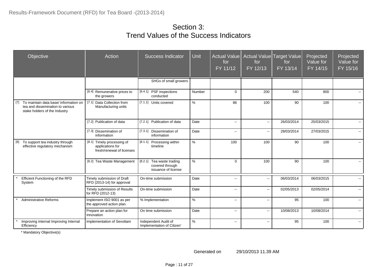| Objective                                                                                                         | Action                                                                      | <b>Success Indicator</b>                                               | Unit   | <b>Actual Value</b><br>for<br>FY 11/12 | for<br>FY 12/13 | Actual Value Target Value<br>for<br>$FY$ 13/14 | Projected<br>Value for<br>FY 14/15 | Projected<br>Value for<br>FY 15/16 |
|-------------------------------------------------------------------------------------------------------------------|-----------------------------------------------------------------------------|------------------------------------------------------------------------|--------|----------------------------------------|-----------------|------------------------------------------------|------------------------------------|------------------------------------|
|                                                                                                                   |                                                                             | SHGs of small growers                                                  |        |                                        |                 |                                                |                                    |                                    |
|                                                                                                                   | [6.4] Remunerative prices to<br>the growers                                 | [6.4.1] PSF inspections<br>conducted                                   | Number | $\Omega$                               | 200             | 540                                            | 800                                |                                    |
| To maintain data base/ information on<br>[7]<br>tea and dissemination to various<br>stake holders of the Industry | [7.1] Data Collection from<br>Manufacturing units                           | [7.1.1] Units covered                                                  | $\%$   | 86                                     | 100             | 90                                             | 100                                |                                    |
|                                                                                                                   | [7.2] Publication of data                                                   | [7.2.1] Publication of data                                            | Date   | $\overline{a}$                         | Ξ.              | 26/03/2014                                     | 25/03/2015                         |                                    |
|                                                                                                                   | [7.3] Dissemination of<br>information                                       | [7.3.1] Dissemination of<br>information                                | Date   | $\overline{\phantom{a}}$               | --              | 28/03/2014                                     | 27/03/2015                         | $\overline{\phantom{a}}$           |
| To support tea industry through<br>[8]<br>effective regulatory mechanism                                          | [8.1] Timely processing of<br>applications for<br>fresh/renewal of licenses | [8.1.1]<br>Processing within<br>timeline                               | $\%$   | 100                                    | 100             | 90                                             | 100                                |                                    |
|                                                                                                                   | [8.2] Tea Waste Management                                                  | [8.2.1]<br>Tea waste trading<br>covered through<br>issuance of license | $\%$   | $\Omega$                               | 100             | 90                                             | 100                                |                                    |
| Efficient Functioning of the RFD<br>System                                                                        | Timely submission of Draft<br>RFD (2013-14) for approval                    | On-time submission                                                     | Date   | $\overline{a}$                         | $\ddotsc$       | 06/03/2014                                     | 06/03/2015                         |                                    |
|                                                                                                                   | Timely submission of Results<br>for RFD (2012-13)                           | On-time submission                                                     | Date   | $\overline{a}$                         | Ξ.              | 02/05/2013                                     | 02/05/2014                         |                                    |
| <b>Administrative Reforms</b>                                                                                     | Implement ISO 9001 as per<br>the approved action plan.                      | % Implementation                                                       | $\%$   | $\sim$                                 | $\ddotsc$       | 95                                             | 100                                | $\overline{a}$                     |
|                                                                                                                   | Prepare an action plan for<br>Innovation                                    | On time submission                                                     | Date   | $\sim$                                 | Ξ.              | 10/08/2013                                     | 10/08/2014                         | $\overline{a}$                     |
| Improving Internal Improving Internal<br>Efficiency                                                               | Implementation of Sevottam                                                  | Independent Audit of<br>Implementation of Citizen'                     | $\%$   | $\sim$                                 | Ξ.              | 95                                             | 100                                | $\overline{\phantom{a}}$           |

\* Mandatory Objective(s)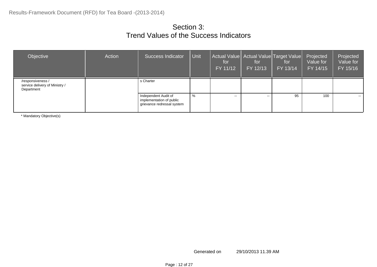| Objective                                                         | Action | Success Indicator                                                              | Unit | for<br>FY 11/12 | Actual Value   Actual Value   Target Value  <br>for<br>FY 12/13 | for<br>FY 13/14 | Projected<br>Value for<br>FY 14/15 | Projected<br>Value for<br>FY 15/16 |
|-------------------------------------------------------------------|--------|--------------------------------------------------------------------------------|------|-----------------|-----------------------------------------------------------------|-----------------|------------------------------------|------------------------------------|
| /responsiveness /<br>service delivery of Ministry /<br>Department |        | s Charter                                                                      |      |                 |                                                                 |                 |                                    |                                    |
|                                                                   |        | Independent Audit of<br>implementation of public<br>grievance redressal system | %    | $\sim$ $\sim$   | $- -$                                                           | 95              | 100                                | $\sim$ $\sim$                      |

\* Mandatory Objective(s)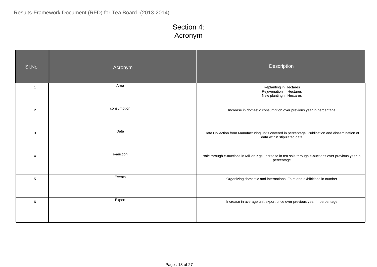# Section 4: Acronym

| SI.No           | Acronym     | Description                                                                                                                     |
|-----------------|-------------|---------------------------------------------------------------------------------------------------------------------------------|
| $\overline{1}$  | Area        | Replanting in Hectares<br>Rejuvenation in Hectares<br>New planting in Hectares                                                  |
| $\overline{2}$  | consumption | Increase in domestic consumption over previous year in percentage                                                               |
| 3               | Data        | Data Collection from Manufacturing units covered in percentage, Publication and dissemination of<br>data within stipulated date |
| $\overline{4}$  | e-auction   | sale through e-auctions in Million Kgs, Increase in tea sale through e-auctions over previous year in<br>percentage             |
| $5\phantom{.0}$ | Events      | Organizing domestic and international Fairs and exhibitions in number                                                           |
| 6               | Export      | Increase in average unit export price over previous year in percentage                                                          |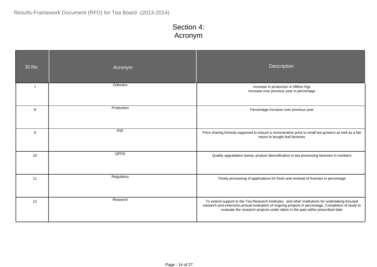# Section 4: Acronym

| SI.No          | Acronym    | Description                                                                                                                                                                                                                                                                              |
|----------------|------------|------------------------------------------------------------------------------------------------------------------------------------------------------------------------------------------------------------------------------------------------------------------------------------------|
| $\overline{7}$ | Orthodox   | Increase in production in Million Kgs<br>Increase over previous year in percentage                                                                                                                                                                                                       |
| 8              | Production | Percentage increase over previous year                                                                                                                                                                                                                                                   |
| 9              | <b>PSF</b> | Price sharing formula supposed to ensure a remunerative price to small tea growers as well as a fair<br>return to bought leaf factories                                                                                                                                                  |
| 10             | QPDS       | Quality upgradation & product diversification in tea processing factories in numbers                                                                                                                                                                                                     |
| 11             | Regulatory | Timely processing of applications for fresh and renewal of licenses in percentage                                                                                                                                                                                                        |
| 12             | Research   | To extend support to the Tea Research Institutes, and other Institutions for undertaking focused<br>research and extension, annual evaluation of ongoing projects in percentage, Completion of study to<br>evaluate the research projects under taken in the past within prescribed date |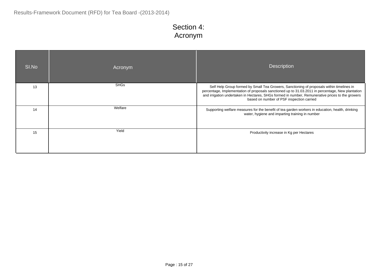# Section 4: Acronym

| SI.No | Acronym     | <b>Description</b>                                                                                                                                                                                                                                                                                                                              |
|-------|-------------|-------------------------------------------------------------------------------------------------------------------------------------------------------------------------------------------------------------------------------------------------------------------------------------------------------------------------------------------------|
| 13    | <b>SHGs</b> | Self Help Group formed by Small Tea Growers, Sanctioning of proposals within timelines in<br>percentage, Implementation of proposals sanctioned up to 31.03.2011 in percentage, New plantation<br>and irrigation undertaken in Hectares, SHGs formed in number, Remunerative prices to the growers<br>based on number of PSF inspection carried |
| 14    | Welfare     | Supporting welfare measures for the benefit of tea garden workers in education, health, drinking<br>water, hygiene and imparting training in number                                                                                                                                                                                             |
| 15    | Yield       | Productivity increase in Kg per Hectares                                                                                                                                                                                                                                                                                                        |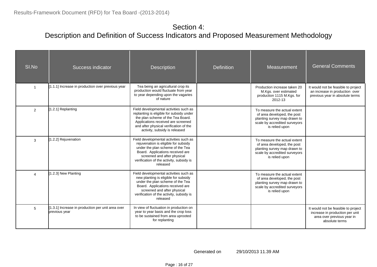| SI.No    | Success indicator                                                  | <b>Description</b>                                                                                                                                                                                                                            | <b>Definition</b> | Measurement                                                                                                                                    | <b>General Comments</b>                                                                                                |
|----------|--------------------------------------------------------------------|-----------------------------------------------------------------------------------------------------------------------------------------------------------------------------------------------------------------------------------------------|-------------------|------------------------------------------------------------------------------------------------------------------------------------------------|------------------------------------------------------------------------------------------------------------------------|
|          | [1.1.1] Increase in production over previous year                  | Tea being an agricultural crop its<br>production would fluctuate from year<br>to year depending upon the vagaries<br>of nature                                                                                                                |                   | Production increase taken 20<br>M.Kgs. over estimated<br>production 1115 M.Kgs. for<br>2012-13                                                 | It would not be feasible to project<br>an increase in production over<br>previous year in absolute terms               |
| 2        | 1.2.1] Replanting                                                  | Field developmental activities such as<br>replanting is eligible for subsidy under<br>the plan scheme of the Tea Board.<br>Applications received are screened<br>and after physical verification of the<br>activity, subsidy is released      |                   | To measure the actual extent<br>of area developed, the post<br>planting survey map drawn to<br>scale by accredited surveyors<br>is relied upon |                                                                                                                        |
| 3        | 1.2.2] Rejuvenation                                                | Field developmental activities such as<br>rejuvenation is eligible for subsidy<br>under the plan scheme of the Tea<br>Board. Applications received are<br>screened and after physical<br>verification of the activity, subsidy is<br>released |                   | To measure the actual extent<br>of area developed, the post<br>planting survey map drawn to<br>scale by accredited surveyors<br>is relied upon |                                                                                                                        |
| $\Delta$ | 1.2.3] New Planting                                                | Field developmental activities such as<br>new planting is eligible for subsidy<br>under the plan scheme of the Tea<br>Board. Applications received are<br>screened and after physical<br>verification of the activity, subsidy is<br>released |                   | To measure the actual extent<br>of area developed, the post<br>planting survey map drawn to<br>scale by accredited surveyors<br>is relied upon |                                                                                                                        |
| 5        | [1.3.1] Increase in production per unit area over<br>previous year | In view of fluctuation in production on<br>year to year basis and the crop loss<br>to be sustained from area uprooted<br>for replanting                                                                                                       |                   |                                                                                                                                                | It would not be feasible to project<br>increase in production per unit<br>area over previous year in<br>absolute terms |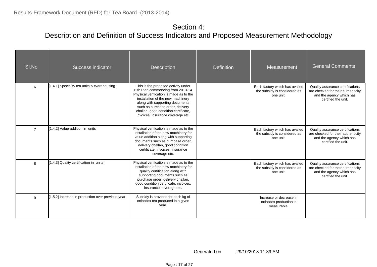| SI.No          | Success indicator                                 | <b>Description</b>                                                                                                                                                                                                                                                                                            | <b>Definition</b> | Measurement                                                                 | <b>General Comments</b>                                                                                                   |  |
|----------------|---------------------------------------------------|---------------------------------------------------------------------------------------------------------------------------------------------------------------------------------------------------------------------------------------------------------------------------------------------------------------|-------------------|-----------------------------------------------------------------------------|---------------------------------------------------------------------------------------------------------------------------|--|
| 6              | [1.4.1] Speciality tea units & Warehousing        | This is the proposed activity under<br>12th Plan commencing from 2013-14.<br>Physical verification is made as to the<br>installation of the new machinery<br>along with supporting documents<br>such as purchase order, delivery<br>challan, good condition certificate,<br>invoices, insurance coverage etc. |                   | Each factory which has availed<br>the subsidy is considered as<br>one unit. | Quality assurance certifications<br>are checked for their authenticity<br>and the agency which has<br>certified the unit. |  |
| $\overline{7}$ | [1.4.2] Value addition in units                   | Physical verification is made as to the<br>installation of the new machinery for<br>value addition along with supporting<br>documents such as purchase order,<br>delivery challan, good condition<br>certificate, invoices, insurance<br>coverage etc.                                                        |                   | Each factory which has availed<br>the subsidy is considered as<br>one unit. | Quality assurance certifications<br>are checked for their authenticity<br>and the agency which has<br>certified the unit. |  |
| 8              | [1.4.3] Quality certification in units            | Physical verification is made as to the<br>installation of the new machinery for<br>quality certification along with<br>supporting documents such as<br>purchase order, delivery challan,<br>good condition certificate, invoices,<br>insurance coverage etc.                                                 |                   | Each factory which has availed<br>the subsidy is considered as<br>one unit. | Quality assurance certifications<br>are checked for their authenticity<br>and the agency which has<br>certified the unit. |  |
| 9              | [1.5.2] Increase in production over previous year | Subsidy is provided for each kg of<br>orthodox tea produced in a given<br>year.                                                                                                                                                                                                                               |                   | Increase or decrease in<br>orthodox production is<br>measurable.            |                                                                                                                           |  |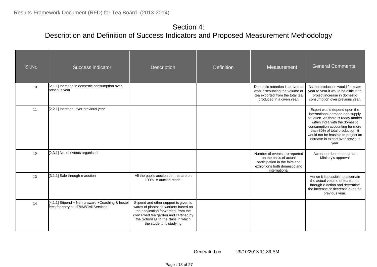| SI.No | Success indicator                                                                            | Description                                                                                                                                                                                                                    | <b>Definition</b> | Measurement                                                                                                                                 | <b>General Comments</b>                                                                                                                                                                                                                                                                            |
|-------|----------------------------------------------------------------------------------------------|--------------------------------------------------------------------------------------------------------------------------------------------------------------------------------------------------------------------------------|-------------------|---------------------------------------------------------------------------------------------------------------------------------------------|----------------------------------------------------------------------------------------------------------------------------------------------------------------------------------------------------------------------------------------------------------------------------------------------------|
| 10    | [2.1.1] Increase in domestic consumption over<br>previous year                               |                                                                                                                                                                                                                                |                   | Domestic retention is arrived at<br>after discounting the volume of<br>tea exported from the total tea<br>produced in a given year.         | As the production would fluctuate<br>year to year it would be difficult to<br>project increase in domestic<br>consumption over previous year.                                                                                                                                                      |
| 11    | [2.2.1] Increase over previous year                                                          |                                                                                                                                                                                                                                |                   |                                                                                                                                             | Export would depend upon the<br>international demand and supply<br>situation. As there is ready market<br>within India with the domestic<br>consumption accounting for more<br>than 80% of total production, it<br>would not be feasible to project an<br>increase in export over previous<br>year |
| 12    | [2.3.1] No. of events organised                                                              |                                                                                                                                                                                                                                |                   | Number of events are reported<br>on the basis of actual<br>participation in the fairs and<br>exhibitions both domestic and<br>international | Actual number depends on<br>Ministry's approval                                                                                                                                                                                                                                                    |
| 13    | [3.1.1] Sale through e-auction                                                               | All the public auction centres are on<br>100% e-auction mode.                                                                                                                                                                  |                   |                                                                                                                                             | Hence it is possible to ascertain<br>the actual volume of tea traded<br>through e-action and determine<br>the increase or decrease over the<br>previous year.                                                                                                                                      |
| 14    | [4.1.1] Stipend + Nehru award +Coaching & hostel<br>fees for entry at IIT/IIM/Civil Services | Stipend and other support is given to<br>wards of plantation workers based on<br>the application forwarded from the<br>concerned tea garden and certified by<br>the School as to the class in which<br>the student is studying |                   |                                                                                                                                             |                                                                                                                                                                                                                                                                                                    |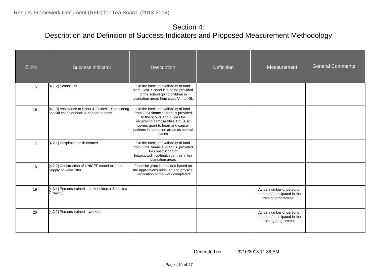| SI.No | Success indicator                                                                             | Description                                                                                                                                                                                                                                | <b>Definition</b> | Measurement                                                                      | <b>General Comments</b> |
|-------|-----------------------------------------------------------------------------------------------|--------------------------------------------------------------------------------------------------------------------------------------------------------------------------------------------------------------------------------------------|-------------------|----------------------------------------------------------------------------------|-------------------------|
| 15    | [4.1.2] School kits                                                                           | On the basis of availability of fund<br>from Govt School kits to be provided<br>to the school going children in<br>plantation areas from class VIII to XII.                                                                                |                   |                                                                                  |                         |
| 16    | [4.1.3] Assistance to Scout & Guides + Sponsoring<br>special cases of heart & cancer patients | On the basis of availability of fund<br>from Govt financial grant is provided<br>to the scouts and guides for<br>organising camps/rallies etc Also<br>covers grant to heart and cancer<br>patients in plantation areas as special<br>cases |                   |                                                                                  |                         |
| 17    | [4.2.1] Hospitals/health centres                                                              | On the basis of availability of fund<br>from Govt. financial grant is provided<br>for construction of<br>hospitals/clinics/health centres in tea<br>plantation areas                                                                       |                   |                                                                                  |                         |
| 18    | [4.2.2] Construction of UNICEF model toilets +<br>Supply of water filter                      | Financial grant is provided based on<br>the applications received and physical<br>verification of the work completed                                                                                                                       |                   |                                                                                  |                         |
| 19    | [4.3.1] Persons trained - stakeholders (Small tea<br>Growers)                                 |                                                                                                                                                                                                                                            |                   | Actual number of persons<br>attended /participated in the<br>training programme. |                         |
| 20    | [4.3.2] Persons trained - workers                                                             |                                                                                                                                                                                                                                            |                   | Actual number of persons<br>attended /participated in the<br>training programme. |                         |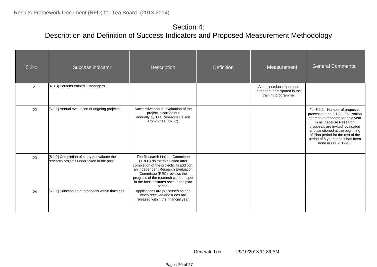| SI.No | Success indicator                                                                        | <b>Description</b>                                                                                                                                                                                                                                                               | <b>Definition</b> | Measurement                                                                      | <b>General Comments</b>                                                                                                                                                                                                                                                                                           |
|-------|------------------------------------------------------------------------------------------|----------------------------------------------------------------------------------------------------------------------------------------------------------------------------------------------------------------------------------------------------------------------------------|-------------------|----------------------------------------------------------------------------------|-------------------------------------------------------------------------------------------------------------------------------------------------------------------------------------------------------------------------------------------------------------------------------------------------------------------|
| 21    | [4.3.3] Persons trained - managers                                                       |                                                                                                                                                                                                                                                                                  |                   | Actual number of persons<br>attended /participated in the<br>training programme. |                                                                                                                                                                                                                                                                                                                   |
| 22    | [5.1.1] Annual evaluation of ongoing projects                                            | Successive annual evaluation of the<br>project is carried out<br>annually by Tea Research Liaison<br>Committee (TRLC)                                                                                                                                                            |                   |                                                                                  | For 5.1.1 -- Number of proposals<br>processed and 5.1.2 - Finalisation<br>of areas of research for next year<br>is nil because Research<br>proposals are invited, evaluated<br>and sanctioned at the beginning<br>of Plan period for the rest of the<br>period of 5 years and it has been<br>done in F/Y 2012-13. |
| 23    | [5.1.2] Completion of study to evaluate the<br>research projects under taken in the past | Tea Research Liaison Committee<br>(TRLC) do the evaluation after<br>completion of the projects. In addition,<br>an independent Research Evaluation<br>Committee (REC) reviews the<br>progress of the research work on spot<br>in the host institutes once in the plan<br>period. |                   |                                                                                  |                                                                                                                                                                                                                                                                                                                   |
| 24    | [6.1.1] Sanctioning of proposals within timelines                                        | Applications are processed as and<br>when received and funds are<br>released within the financial year.                                                                                                                                                                          |                   |                                                                                  |                                                                                                                                                                                                                                                                                                                   |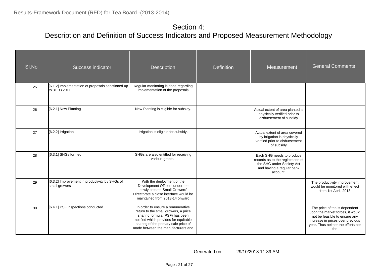| SI.No | <b>Success indicator</b>                                           | <b>Description</b>                                                                                                                                                                                                                 | <b>Definition</b> | Measurement                                                                                                                          | <b>General Comments</b>                                                                                                                                                             |
|-------|--------------------------------------------------------------------|------------------------------------------------------------------------------------------------------------------------------------------------------------------------------------------------------------------------------------|-------------------|--------------------------------------------------------------------------------------------------------------------------------------|-------------------------------------------------------------------------------------------------------------------------------------------------------------------------------------|
| 25    | [6.1.2] Implementation of proposals sanctioned up<br>to 31.03.2011 | Regular monitoring is done regarding<br>implementation of the proposals                                                                                                                                                            |                   |                                                                                                                                      |                                                                                                                                                                                     |
| 26    | [6.2.1] New Planting                                               | New Planting is eligible for subsidy.                                                                                                                                                                                              |                   |                                                                                                                                      |                                                                                                                                                                                     |
| 27    | [6.2.2] Irrigation                                                 | Irrigation is eligible for subsidy.                                                                                                                                                                                                |                   | Actual extent of area covered<br>by irrigation is physically<br>verified prior to disbursement<br>of subsidy                         |                                                                                                                                                                                     |
| 28    | [6.3.1] SHGs formed                                                | SHGs are also entitled for receiving<br>various grants.                                                                                                                                                                            |                   | Each SHG needs to produce<br>records as to the registration of<br>the SHG under Society Act<br>and having a regular bank<br>account. |                                                                                                                                                                                     |
| 29    | [6.3.2] Improvement in productivity by SHGs of<br>small growers    | With the deployment of the<br>Development Officers under the<br>newly created Small Growers'<br>Directorate a close interface would be<br>maintained from 2013-14 onward                                                           |                   |                                                                                                                                      | The productivity improvement<br>would be monitored with effect<br>from 1st April, 2013                                                                                              |
| 30    | [6.4.1] PSF inspections conducted                                  | In order to ensure a remunerative<br>return to the small growers, a price<br>sharing formula (PSF) has been<br>notified which provides for equitable<br>sharing of the primary sale price of<br>made between the manufacturers and |                   |                                                                                                                                      | The price of tea is dependent<br>upon the market forces, it would<br>not be feasible to ensure any<br>increase in prices over previous<br>year. Thus neither the efforts nor<br>the |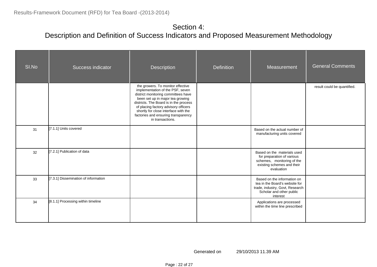| SI.No | Success indicator                    | <b>Description</b>                                                                                                                                                                                                                                                                                                                    | Definition | Measurement                                                                                                                              | <b>General Comments</b>     |
|-------|--------------------------------------|---------------------------------------------------------------------------------------------------------------------------------------------------------------------------------------------------------------------------------------------------------------------------------------------------------------------------------------|------------|------------------------------------------------------------------------------------------------------------------------------------------|-----------------------------|
|       |                                      | the growers. To monitor effective<br>implementation of the PSF, seven<br>district monitoring committees have<br>been set up in major tea growing<br>districts. The Board is in the process<br>of placing factory advisory officers<br>shortly for close interface with the<br>factories and ensuring transparency<br>in transactions. |            |                                                                                                                                          | result could be quantified. |
| 31    | [7.1.1] Units covered                |                                                                                                                                                                                                                                                                                                                                       |            | Based on the actual number of<br>manufacturing units covered                                                                             |                             |
| 32    | [7.2.1] Publication of data          |                                                                                                                                                                                                                                                                                                                                       |            | Based on the materials used<br>for preparation of various<br>schemes, monitoring of the<br>existing schemes and their<br>evaluation      |                             |
| 33    | [7.3.1] Dissemination of information |                                                                                                                                                                                                                                                                                                                                       |            | Based on the information on<br>tea in the Board's website for<br>trade, industry, Govt, Research<br>Scholar and other public<br>interest |                             |
| 34    | [8.1.1] Processing within timeline   |                                                                                                                                                                                                                                                                                                                                       |            | Applications are processed<br>within the time line prescribed                                                                            |                             |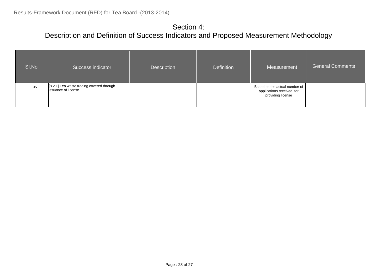| SI.No | Success indicator                                                       | Description | <b>Definition</b> | Measurement                                                                     | <b>General Comments</b> |
|-------|-------------------------------------------------------------------------|-------------|-------------------|---------------------------------------------------------------------------------|-------------------------|
| 35    | [8.2.1] Tea waste trading covered through<br><b>issuance of license</b> |             |                   | Based on the actual number of<br>applications received for<br>providing license |                         |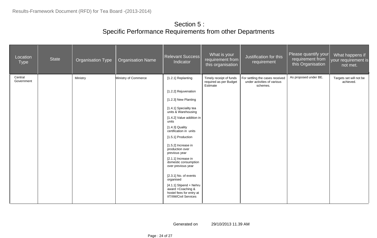#### Section 5 : Specific Performance Requirements from other Departments

| Location<br><b>Type</b> | State | <b>Organisation Type</b> | <b>Organisation Name</b> | Relevant Success<br>Indicator                                                                                                                                                                                                                                                                                                                                                                                                                                                                              | What is your<br>requirement from<br>this organisation         | Justification for this<br>requirement                                      | Please quantify your<br>requirement from<br>this Organisation | What happens if<br>your requirement is<br>not met. |
|-------------------------|-------|--------------------------|--------------------------|------------------------------------------------------------------------------------------------------------------------------------------------------------------------------------------------------------------------------------------------------------------------------------------------------------------------------------------------------------------------------------------------------------------------------------------------------------------------------------------------------------|---------------------------------------------------------------|----------------------------------------------------------------------------|---------------------------------------------------------------|----------------------------------------------------|
| Central<br>Government   |       | Ministry                 | Ministry of Commerce     | [1.2.1] Replanting<br>[1.2.2] Rejuvenation<br>[1.2.3] New Planting<br>[1.4.1] Speciality tea<br>units & Warehousing<br>[1.4.2] Value addition in<br>units<br>$[1.4.3]$ Quality<br>certification in units<br>[1.5.1] Production<br>[1.5.2] Increase in<br>production over<br>previous year<br>[2.1.1] Increase in<br>domestic consumption<br>over previous year<br>[2.3.1] No. of events<br>organised<br>[4.1.1] Stipend + Nehru<br>award +Coaching &<br>hostel fees for entry at<br>IIT/IIM/Civil Services | Timely receipt of funds<br>required as per Budget<br>Estimate | For settling the cases received<br>under activities of various<br>schemes. | As proposed under BE.                                         | Targets set will not be<br>achieved.               |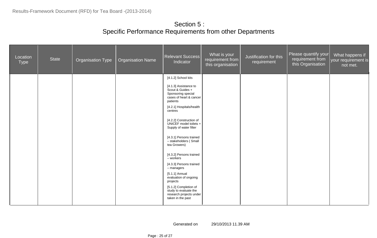#### Section 5 : Specific Performance Requirements from other Departments

| Location<br>Type | State | Organisation Type | <b>Organisation Name</b> | Relevant Success<br>Indicator                                                                          | What is your<br>requirement from<br>this organisation | Justification for this<br>requirement | Please quantify your<br>requirement from<br>this Organisation | What happens if<br>your requirement is<br>$\sqrt{\mathsf{not} \, \mathsf{met.}}$ |
|------------------|-------|-------------------|--------------------------|--------------------------------------------------------------------------------------------------------|-------------------------------------------------------|---------------------------------------|---------------------------------------------------------------|----------------------------------------------------------------------------------|
|                  |       |                   |                          | [4.1.2] School kits                                                                                    |                                                       |                                       |                                                               |                                                                                  |
|                  |       |                   |                          | [4.1.3] Assistance to<br>Scout & Guides +<br>Sponsoring special<br>cases of heart & cancer<br>patients |                                                       |                                       |                                                               |                                                                                  |
|                  |       |                   |                          | [4.2.1] Hospitals/health<br>centres                                                                    |                                                       |                                       |                                                               |                                                                                  |
|                  |       |                   |                          | [4.2.2] Construction of<br>UNICEF model toilets +<br>Supply of water filter                            |                                                       |                                       |                                                               |                                                                                  |
|                  |       |                   |                          | [4.3.1] Persons trained<br>- stakeholders (Small<br>tea Growers)                                       |                                                       |                                       |                                                               |                                                                                  |
|                  |       |                   |                          | [4.3.2] Persons trained<br>- workers                                                                   |                                                       |                                       |                                                               |                                                                                  |
|                  |       |                   |                          | [4.3.3] Persons trained<br>$-$ managers                                                                |                                                       |                                       |                                                               |                                                                                  |
|                  |       |                   |                          | $[5.1.1]$ Annual<br>evaluation of ongoing<br>projects                                                  |                                                       |                                       |                                                               |                                                                                  |
|                  |       |                   |                          | [5.1.2] Completion of<br>study to evaluate the<br>research projects under<br>taken in the past         |                                                       |                                       |                                                               |                                                                                  |
|                  |       |                   |                          |                                                                                                        |                                                       |                                       |                                                               |                                                                                  |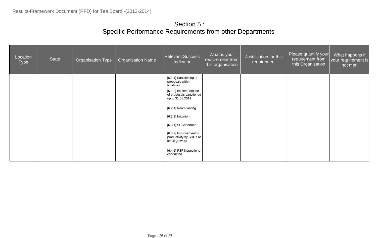#### Section 5 : Specific Performance Requirements from other Departments

| Location<br><b>Type</b> | <b>State</b> | <b>Organisation Type</b> | <b>Organisation Name</b> | Relevant Success<br>Indicator                                         | What is your<br>requirement from<br>this organisation | Justification for this<br>requirement | Please quantify your<br>requirement from<br>this Organisation | What happens if<br>your requirement is<br>not met. |
|-------------------------|--------------|--------------------------|--------------------------|-----------------------------------------------------------------------|-------------------------------------------------------|---------------------------------------|---------------------------------------------------------------|----------------------------------------------------|
|                         |              |                          |                          | [6.1.1] Sanctioning of<br>proposals within<br>timelines               |                                                       |                                       |                                                               |                                                    |
|                         |              |                          |                          | [6.1.2] Implementation<br>of proposals sanctioned<br>up to 31.03.2011 |                                                       |                                       |                                                               |                                                    |
|                         |              |                          |                          | [6.2.1] New Planting                                                  |                                                       |                                       |                                                               |                                                    |
|                         |              |                          |                          | [6.2.2] Irrigation                                                    |                                                       |                                       |                                                               |                                                    |
|                         |              |                          |                          | [6.3.1] SHGs formed                                                   |                                                       |                                       |                                                               |                                                    |
|                         |              |                          |                          | [6.3.2] Improvement in<br>productivity by SHGs of<br>small growers    |                                                       |                                       |                                                               |                                                    |
|                         |              |                          |                          | [6.4.1] PSF inspections<br>conducted                                  |                                                       |                                       |                                                               |                                                    |